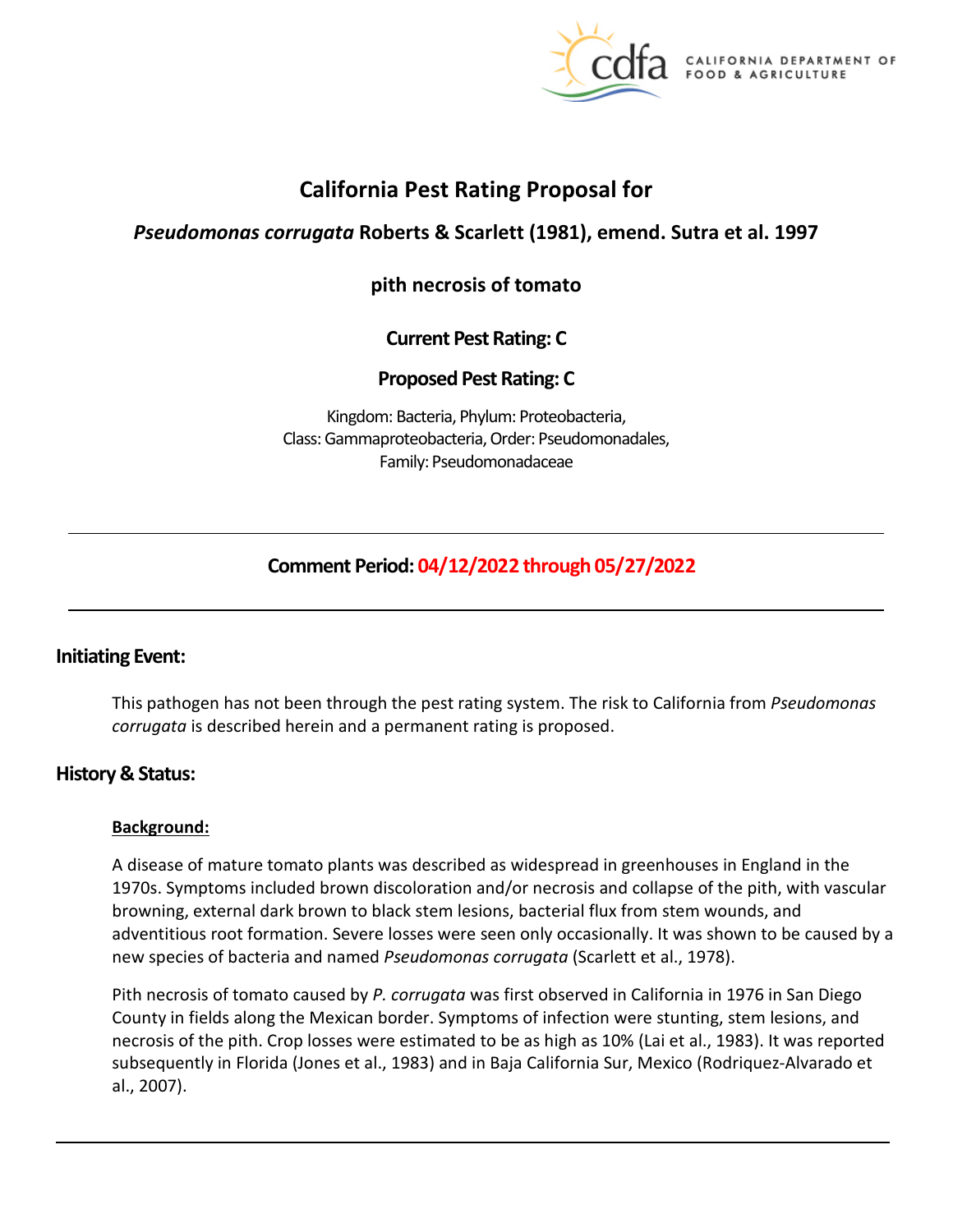

# **California Pest Rating Proposal for**

# *Pseudomonas corrugata* **Roberts & Scarlett (1981), emend. Sutra et al. 1997**

# **pith necrosis of tomato**

# **Current Pest Rating: C**

# **Proposed Pest Rating: C**

Kingdom: Bacteria, Phylum: Proteobacteria, Class: Gammaproteobacteria, Order: Pseudomonadales, Family: Pseudomonadaceae

# **Comment Period: 04/12/2022 through 05/27/2022**

# **Initiating Event:**

This pathogen has not been through the pest rating system. The risk to California from *Pseudomonas corrugata* is described herein and a permanent rating is proposed.

# **History & Status:**

#### **Background:**

A disease of mature tomato plants was described as widespread in greenhouses in England in the 1970s. Symptoms included brown discoloration and/or necrosis and collapse of the pith, with vascular browning, external dark brown to black stem lesions, bacterial flux from stem wounds, and adventitious root formation. Severe losses were seen only occasionally. It was shown to be caused by a new species of bacteria and named *Pseudomonas corrugata* (Scarlett et al., 1978).

Pith necrosis of tomato caused by *P. corrugata* was first observed in California in 1976 in San Diego County in fields along the Mexican border. Symptoms of infection were stunting, stem lesions, and necrosis of the pith. Crop losses were estimated to be as high as 10% (Lai et al., 1983). It was reported subsequently in Florida (Jones et al., 1983) and in Baja California Sur, Mexico (Rodriquez-Alvarado et al., 2007).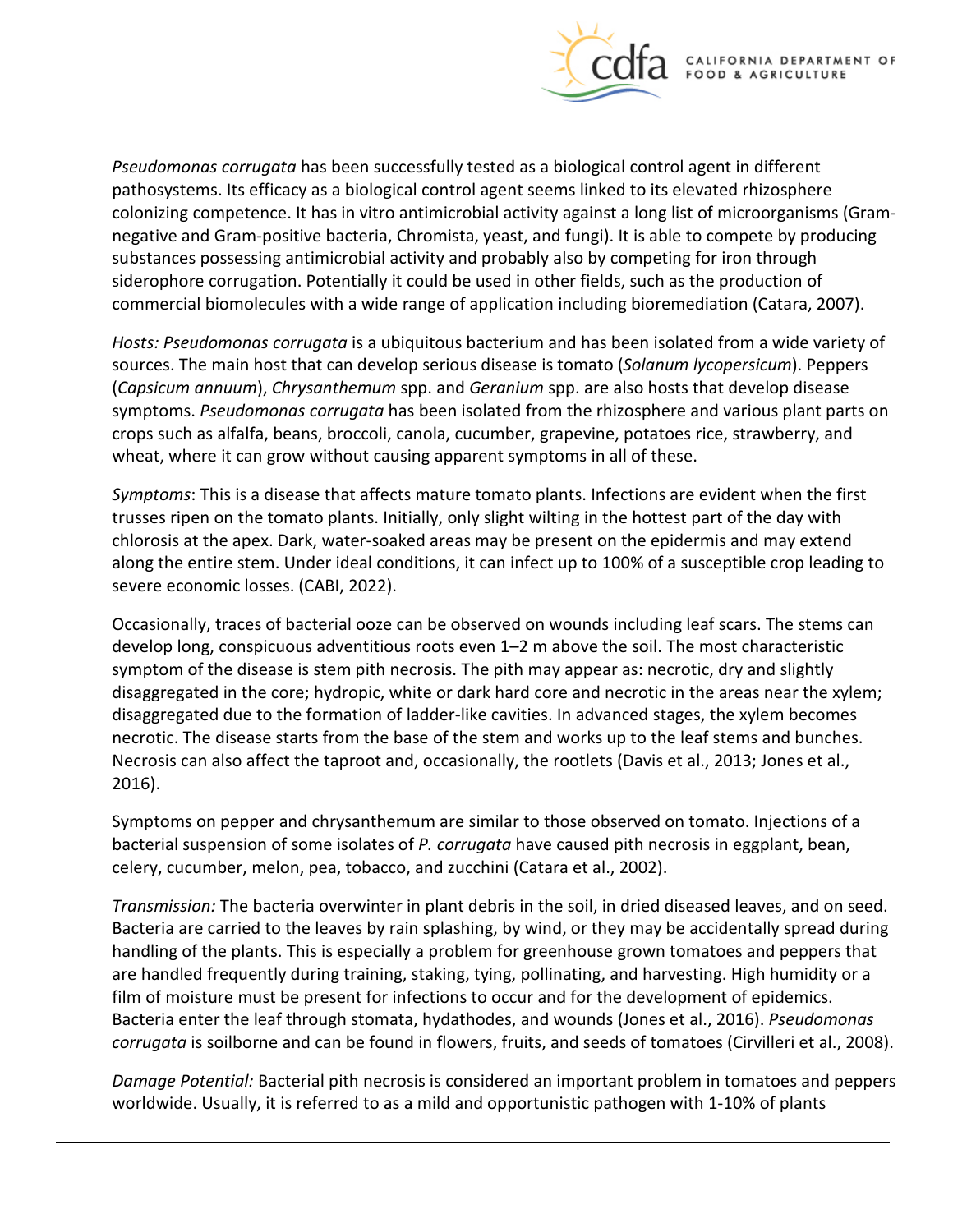

*Pseudomonas corrugata* has been successfully tested as a biological control agent in different pathosystems. Its efficacy as a biological control agent seems linked to its elevated rhizosphere colonizing competence. It has in vitro antimicrobial activity against a long list of microorganisms (Gramnegative and Gram-positive bacteria, Chromista, yeast, and fungi). It is able to compete by producing substances possessing antimicrobial activity and probably also by competing for iron through siderophore corrugation. Potentially it could be used in other fields, such as the production of commercial biomolecules with a wide range of application including bioremediation (Catara, 2007).

*Hosts: Pseudomonas corrugata* is a ubiquitous bacterium and has been isolated from a wide variety of sources. The main host that can develop serious disease is tomato (*Solanum lycopersicum*). Peppers (*Capsicum annuum*), *Chrysanthemum* spp. and *Geranium* spp. are also hosts that develop disease symptoms. *Pseudomonas corrugata* has been isolated from the rhizosphere and various plant parts on crops such as alfalfa, beans, broccoli, canola, cucumber, grapevine, potatoes rice, strawberry, and wheat, where it can grow without causing apparent symptoms in all of these.

*Symptoms*: This is a disease that affects mature tomato plants. Infections are evident when the first trusses ripen on the tomato plants. Initially, only slight wilting in the hottest part of the day with chlorosis at the apex. Dark, water-soaked areas may be present on the epidermis and may extend along the entire stem. Under ideal conditions, it can infect up to 100% of a susceptible crop leading to severe economic losses. (CABI, 2022).

Occasionally, traces of bacterial ooze can be observed on wounds including leaf scars. The stems can develop long, conspicuous adventitious roots even 1–2 m above the soil. The most characteristic symptom of the disease is stem pith necrosis. The pith may appear as: necrotic, dry and slightly disaggregated in the core; hydropic, white or dark hard core and necrotic in the areas near the xylem; disaggregated due to the formation of ladder-like cavities. In advanced stages, the xylem becomes necrotic. The disease starts from the base of the stem and works up to the leaf stems and bunches. Necrosis can also affect the taproot and, occasionally, the rootlets (Davis et al., 2013; Jones et al., 2016).

Symptoms on pepper and chrysanthemum are similar to those observed on tomato. Injections of a bacterial suspension of some isolates of *P. corrugata* have caused pith necrosis in eggplant, bean, celery, cucumber, melon, pea, tobacco, and zucchini (Catara et al., 2002).

*Transmission:* The bacteria overwinter in plant debris in the soil, in dried diseased leaves, and on seed. Bacteria are carried to the leaves by rain splashing, by wind, or they may be accidentally spread during handling of the plants. This is especially a problem for greenhouse grown tomatoes and peppers that are handled frequently during training, staking, tying, pollinating, and harvesting. High humidity or a film of moisture must be present for infections to occur and for the development of epidemics. Bacteria enter the leaf through stomata, hydathodes, and wounds (Jones et al., 2016). *Pseudomonas corrugata* is soilborne and can be found in flowers, fruits, and seeds of tomatoes (Cirvilleri et al., 2008).

*Damage Potential:* Bacterial pith necrosis is considered an important problem in tomatoes and peppers worldwide. Usually, it is referred to as a mild and opportunistic pathogen with 1-10% of plants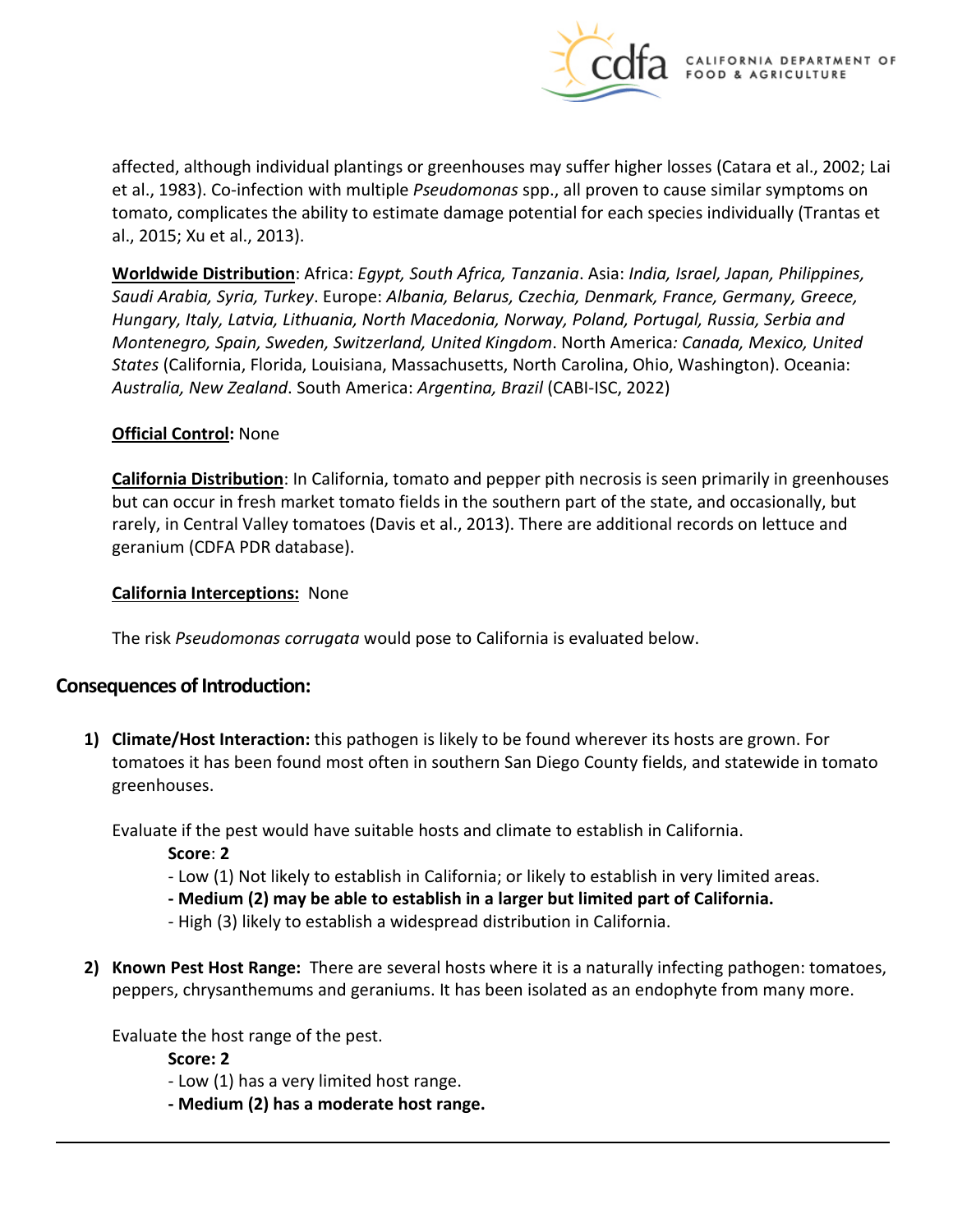

affected, although individual plantings or greenhouses may suffer higher losses (Catara et al., 2002; Lai et al., 1983). Co-infection with multiple *Pseudomonas* spp., all proven to cause similar symptoms on tomato, complicates the ability to estimate damage potential for each species individually (Trantas et al., 2015; Xu et al., 2013).

**Worldwide Distribution**: Africa: *Egypt, South Africa, Tanzania*. Asia: *India, Israel, Japan, Philippines, Saudi Arabia, Syria, Turkey*. Europe: *Albania, Belarus, Czechia, Denmark, France, Germany, Greece, Hungary, Italy, Latvia, Lithuania, North Macedonia, Norway, Poland, Portugal, Russia, Serbia and Montenegro, Spain, Sweden, Switzerland, United Kingdom*. North America*: Canada, Mexico, United States* (California, Florida, Louisiana, Massachusetts, North Carolina, Ohio, Washington). Oceania: *Australia, New Zealand*. South America: *Argentina, Brazil* (CABI-ISC, 2022)

#### **Official Control:** None

**California Distribution**: In California, tomato and pepper pith necrosis is seen primarily in greenhouses but can occur in fresh market tomato fields in the southern part of the state, and occasionally, but rarely, in Central Valley tomatoes (Davis et al., 2013). There are additional records on lettuce and geranium (CDFA PDR database).

#### **California Interceptions:** None

The risk *Pseudomonas corrugata* would pose to California is evaluated below.

# **Consequences of Introduction:**

**1) Climate/Host Interaction:** this pathogen is likely to be found wherever its hosts are grown. For tomatoes it has been found most often in southern San Diego County fields, and statewide in tomato greenhouses.

Evaluate if the pest would have suitable hosts and climate to establish in California.

- **Score**: **2**
- Low (1) Not likely to establish in California; or likely to establish in very limited areas.
- **- Medium (2) may be able to establish in a larger but limited part of California.**
- High (3) likely to establish a widespread distribution in California.
- **2) Known Pest Host Range:** There are several hosts where it is a naturally infecting pathogen: tomatoes, peppers, chrysanthemums and geraniums. It has been isolated as an endophyte from many more.

Evaluate the host range of the pest.

**Score: 2** 

- Low (1) has a very limited host range.
- **- Medium (2) has a moderate host range.**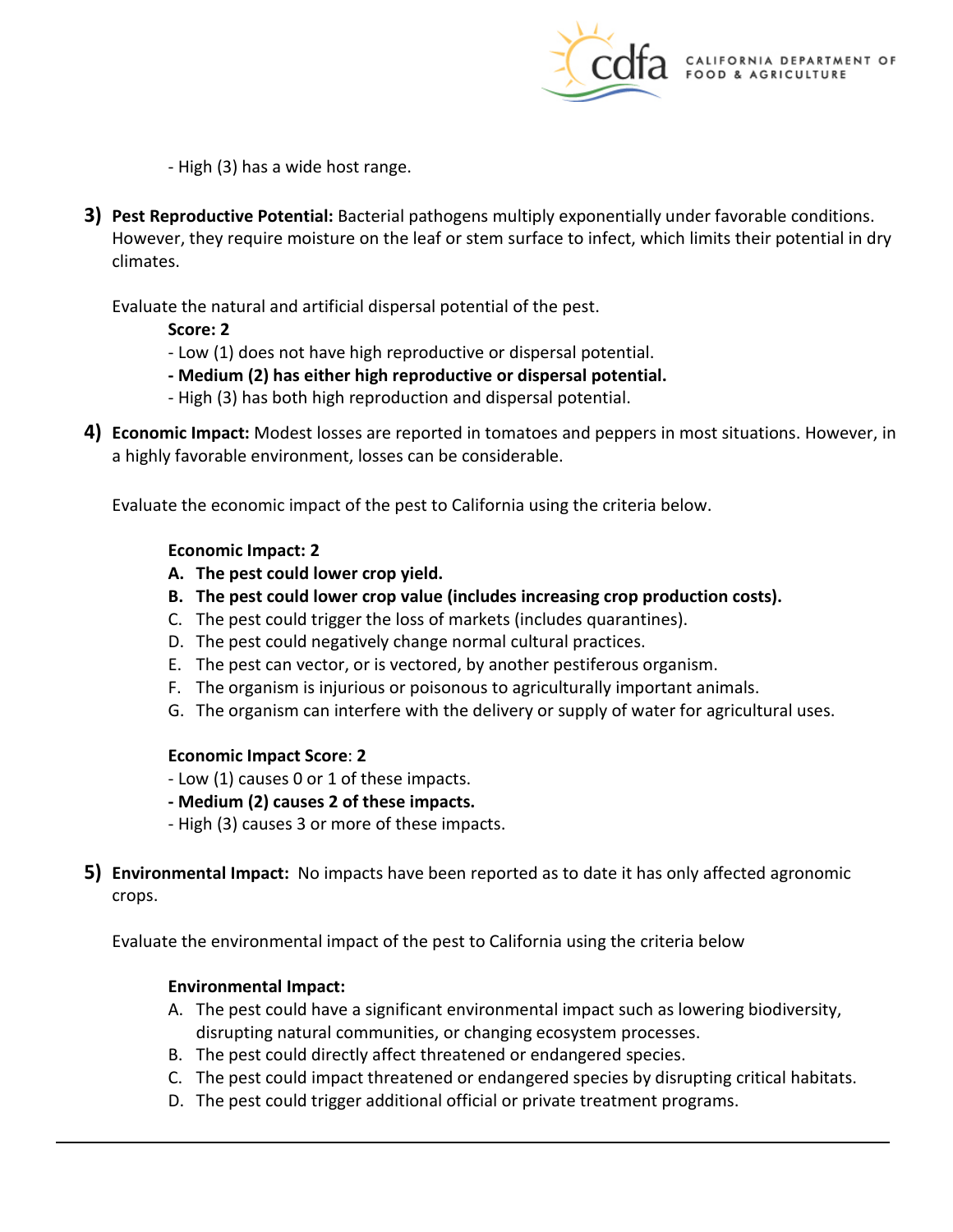

- High (3) has a wide host range.

**3) Pest Reproductive Potential:** Bacterial pathogens multiply exponentially under favorable conditions. However, they require moisture on the leaf or stem surface to infect, which limits their potential in dry climates.

Evaluate the natural and artificial dispersal potential of the pest.

**Score: 2** 

- Low (1) does not have high reproductive or dispersal potential.
- **- Medium (2) has either high reproductive or dispersal potential.**
- High (3) has both high reproduction and dispersal potential.
- **4) Economic Impact:** Modest losses are reported in tomatoes and peppers in most situations. However, in a highly favorable environment, losses can be considerable.

Evaluate the economic impact of the pest to California using the criteria below.

#### **Economic Impact: 2**

- **A. The pest could lower crop yield.**
- **B. The pest could lower crop value (includes increasing crop production costs).**
- C. The pest could trigger the loss of markets (includes quarantines).
- D. The pest could negatively change normal cultural practices.
- E. The pest can vector, or is vectored, by another pestiferous organism.
- F. The organism is injurious or poisonous to agriculturally important animals.
- G. The organism can interfere with the delivery or supply of water for agricultural uses.

#### **Economic Impact Score**: **2**

- Low (1) causes 0 or 1 of these impacts.
- **- Medium (2) causes 2 of these impacts.**
- High (3) causes 3 or more of these impacts.
- **5) Environmental Impact:** No impacts have been reported as to date it has only affected agronomic crops.

Evaluate the environmental impact of the pest to California using the criteria below

### **Environmental Impact:**

- A. The pest could have a significant environmental impact such as lowering biodiversity, disrupting natural communities, or changing ecosystem processes.
- B. The pest could directly affect threatened or endangered species.
- C. The pest could impact threatened or endangered species by disrupting critical habitats.
- D. The pest could trigger additional official or private treatment programs.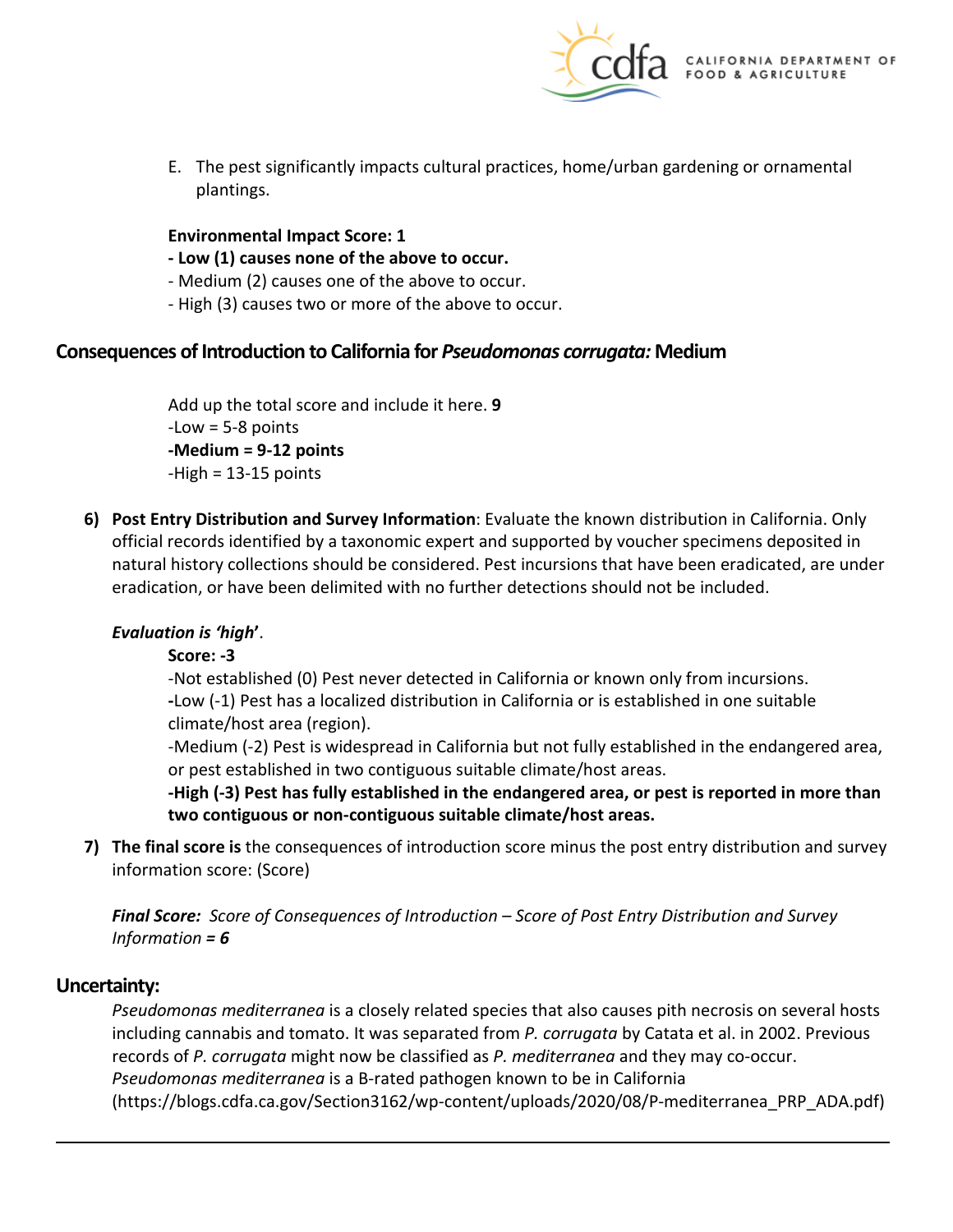

E. The pest significantly impacts cultural practices, home/urban gardening or ornamental plantings.

#### **Environmental Impact Score: 1**

- **- Low (1) causes none of the above to occur.**
- Medium (2) causes one of the above to occur.
- High (3) causes two or more of the above to occur.

### **Consequences of Introduction to California for** *Pseudomonas corrugata:* **Medium**

Add up the total score and include it here. **9**  -Low = 5-8 points **-Medium = 9-12 points**   $-High = 13-15$  points

**6) Post Entry Distribution and Survey Information**: Evaluate the known distribution in California. Only official records identified by a taxonomic expert and supported by voucher specimens deposited in natural history collections should be considered. Pest incursions that have been eradicated, are under eradication, or have been delimited with no further detections should not be included.

### *Evaluation is 'high***'**.

#### **Score: -3**

-Not established (0) Pest never detected in California or known only from incursions. **-**Low (-1) Pest has a localized distribution in California or is established in one suitable climate/host area (region).

-Medium (-2) Pest is widespread in California but not fully established in the endangered area, or pest established in two contiguous suitable climate/host areas.

**-High (-3) Pest has fully established in the endangered area, or pest is reported in more than two contiguous or non-contiguous suitable climate/host areas.** 

**7) The final score is** the consequences of introduction score minus the post entry distribution and survey information score: (Score)

*Final Score: Score of Consequences of Introduction – Score of Post Entry Distribution and Survey Information = 6* 

### **Uncertainty:**

*Pseudomonas mediterranea* is a closely related species that also causes pith necrosis on several hosts including cannabis and tomato. It was separated from *P. corrugata* by Catata et al. in 2002. Previous records of *P. corrugata* might now be classified as *P. mediterranea* and they may co-occur. *Pseudomonas mediterranea* is a B-rated pathogen known to be in California ([https://blogs.cdfa.ca.gov/Section3162/wp-content/uploads/2020/08/P-mediterranea\\_PRP\\_ADA.pdf](https://blogs.cdfa.ca.gov/Section3162/wp-content/uploads/2020/08/P-mediterranea_PRP_ADA.pdf))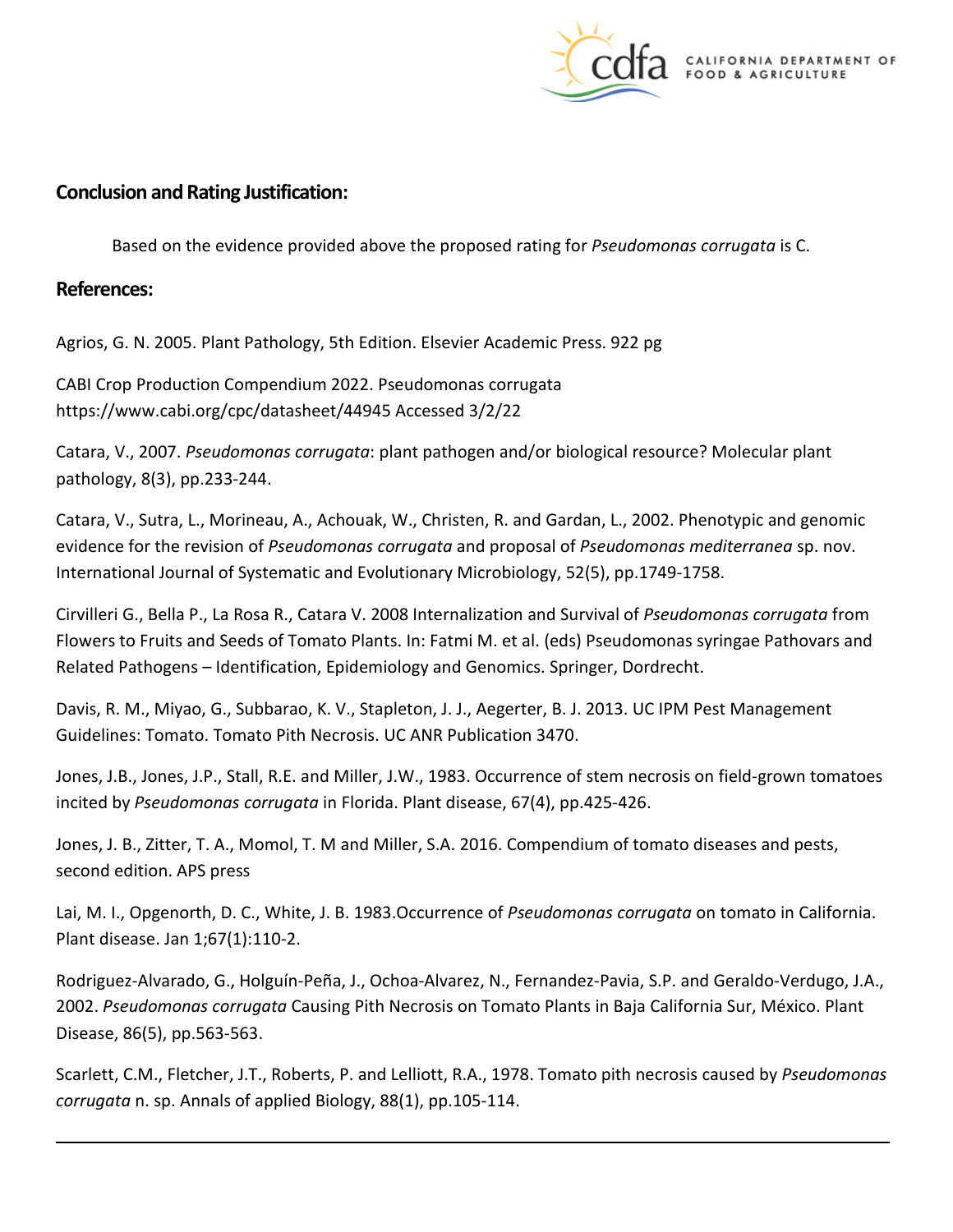

## **Conclusion and Rating Justification:**

Based on the evidence provided above the proposed rating for *Pseudomonas corrugata* is C.

### **References:**

Agrios, G. N. 2005. Plant Pathology, 5th Edition. Elsevier Academic Press. 922 pg

CABI Crop Production Compendium 2022. Pseudomonas corrugata <https://www.cabi.org/cpc/datasheet/44945> Accessed 3/2/22

Catara, V., 2007. *Pseudomonas corrugata*: plant pathogen and/or biological resource? Molecular plant pathology, 8(3), pp.233-244.

Catara, V., Sutra, L., Morineau, A., Achouak, W., Christen, R. and Gardan, L., 2002. Phenotypic and genomic evidence for the revision of *Pseudomonas corrugata* and proposal of *Pseudomonas mediterranea* sp. nov. International Journal of Systematic and Evolutionary Microbiology, 52(5), pp.1749-1758.

Cirvilleri G., Bella P., La Rosa R., Catara V. 2008 Internalization and Survival of *Pseudomonas corrugata* from Flowers to Fruits and Seeds of Tomato Plants. In: Fatmi M. et al. (eds) Pseudomonas syringae Pathovars and Related Pathogens – Identification, Epidemiology and Genomics. Springer, Dordrecht.

Davis, R. M., Miyao, G., Subbarao, K. V., Stapleton, J. J., Aegerter, B. J. 2013. UC IPM Pest Management Guidelines: Tomato. Tomato Pith Necrosis. UC ANR Publication 3470.

Jones, J.B., Jones, J.P., Stall, R.E. and Miller, J.W., 1983. Occurrence of stem necrosis on field-grown tomatoes incited by *Pseudomonas corrugata* in Florida. Plant disease, 67(4), pp.425-426.

Jones, J. B., Zitter, T. A., Momol, T. M and Miller, S.A. 2016. Compendium of tomato diseases and pests, second edition. APS press

Lai, M. I., Opgenorth, D. C., White, J. B. 1983.Occurrence of *Pseudomonas corrugata* on tomato in California. Plant disease. Jan 1;67(1):110-2.

Rodriguez-Alvarado, G., Holguín-Peña, J., Ochoa-Alvarez, N., Fernandez-Pavia, S.P. and Geraldo-Verdugo, J.A., 2002. *Pseudomonas corrugata* Causing Pith Necrosis on Tomato Plants in Baja California Sur, México. Plant Disease, 86(5), pp.563-563.

Scarlett, C.M., Fletcher, J.T., Roberts, P. and Lelliott, R.A., 1978. Tomato pith necrosis caused by *Pseudomonas corrugata* n. sp. Annals of applied Biology, 88(1), pp.105-114.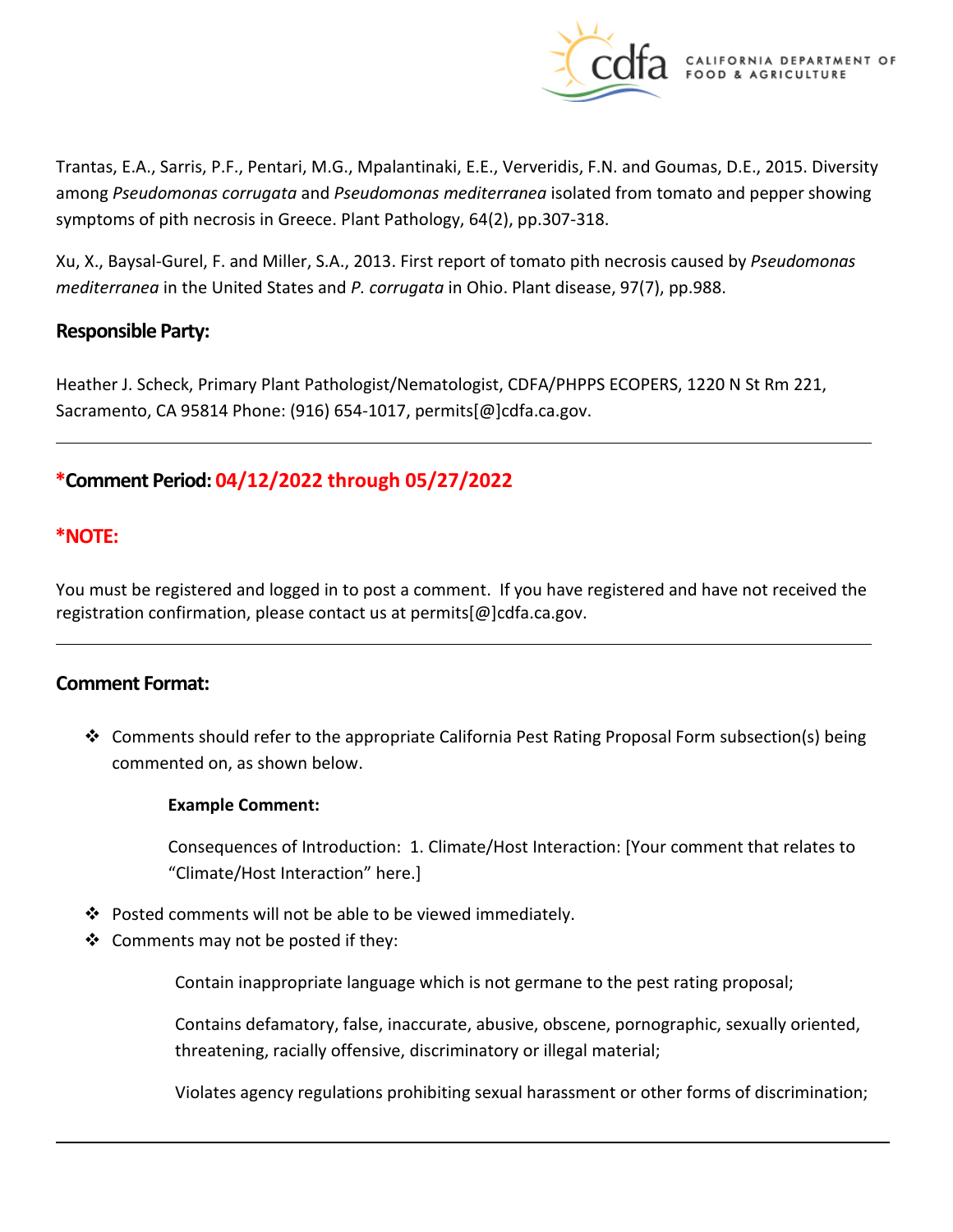

Trantas, E.A., Sarris, P.F., Pentari, M.G., Mpalantinaki, E.E., Ververidis, F.N. and Goumas, D.E., 2015. Diversity among *Pseudomonas corrugata* and *Pseudomonas mediterranea* isolated from tomato and pepper showing symptoms of pith necrosis in Greece. Plant Pathology, 64(2), pp.307-318.

Xu, X., Baysal-Gurel, F. and Miller, S.A., 2013. First report of tomato pith necrosis caused by *Pseudomonas mediterranea* in the United States and *P. corrugata* in Ohio. Plant disease, 97(7), pp.988.

### **Responsible Party:**

Heather J. Scheck, Primary Plant Pathologist/Nematologist, CDFA/PHPPS ECOPERS, 1220 N St Rm 221, Sacramento, CA 95814 Phone: (916) 654-1017, [permits\[@\]cdfa.ca.gov](https://permits[@]cdfa.ca.gov).

# **\*Comment Period: 04/12/2022 through 05/27/2022**

## **\*NOTE:**

You must be registered and logged in to post a comment. If you have registered and have not received the registration confirmation, please contact us at [permits\[@\]cdfa.ca.gov](https://permits[@]cdfa.ca.gov).

### **Comment Format:**

 $\div$  Comments should refer to the appropriate California Pest Rating Proposal Form subsection(s) being commented on, as shown below.

#### **Example Comment:**

Consequences of Introduction: 1. Climate/Host Interaction: [Your comment that relates to "Climate/Host Interaction" here.]

- Posted comments will not be able to be viewed immediately.
- $\clubsuit$  Comments may not be posted if they:

Contain inappropriate language which is not germane to the pest rating proposal;

Contains defamatory, false, inaccurate, abusive, obscene, pornographic, sexually oriented, threatening, racially offensive, discriminatory or illegal material;

Violates agency regulations prohibiting sexual harassment or other forms of discrimination;